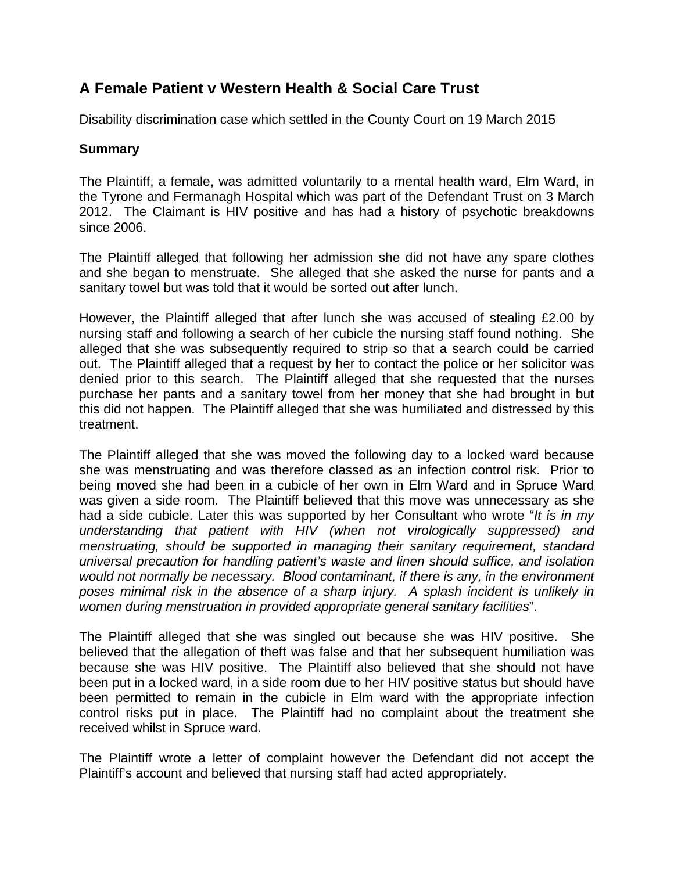## **A Female Patient v Western Health & Social Care Trust**

Disability discrimination case which settled in the County Court on 19 March 2015

## **Summary**

The Plaintiff, a female, was admitted voluntarily to a mental health ward, Elm Ward, in the Tyrone and Fermanagh Hospital which was part of the Defendant Trust on 3 March 2012. The Claimant is HIV positive and has had a history of psychotic breakdowns since 2006.

The Plaintiff alleged that following her admission she did not have any spare clothes and she began to menstruate. She alleged that she asked the nurse for pants and a sanitary towel but was told that it would be sorted out after lunch.

However, the Plaintiff alleged that after lunch she was accused of stealing £2.00 by nursing staff and following a search of her cubicle the nursing staff found nothing. She alleged that she was subsequently required to strip so that a search could be carried out. The Plaintiff alleged that a request by her to contact the police or her solicitor was denied prior to this search. The Plaintiff alleged that she requested that the nurses purchase her pants and a sanitary towel from her money that she had brought in but this did not happen. The Plaintiff alleged that she was humiliated and distressed by this treatment.

The Plaintiff alleged that she was moved the following day to a locked ward because she was menstruating and was therefore classed as an infection control risk. Prior to being moved she had been in a cubicle of her own in Elm Ward and in Spruce Ward was given a side room. The Plaintiff believed that this move was unnecessary as she had a side cubicle. Later this was supported by her Consultant who wrote "*It is in my understanding that patient with HIV (when not virologically suppressed) and menstruating, should be supported in managing their sanitary requirement, standard universal precaution for handling patient's waste and linen should suffice, and isolation would not normally be necessary. Blood contaminant, if there is any, in the environment poses minimal risk in the absence of a sharp injury. A splash incident is unlikely in women during menstruation in provided appropriate general sanitary facilities*".

The Plaintiff alleged that she was singled out because she was HIV positive. She believed that the allegation of theft was false and that her subsequent humiliation was because she was HIV positive. The Plaintiff also believed that she should not have been put in a locked ward, in a side room due to her HIV positive status but should have been permitted to remain in the cubicle in Elm ward with the appropriate infection control risks put in place. The Plaintiff had no complaint about the treatment she received whilst in Spruce ward.

The Plaintiff wrote a letter of complaint however the Defendant did not accept the Plaintiff's account and believed that nursing staff had acted appropriately.